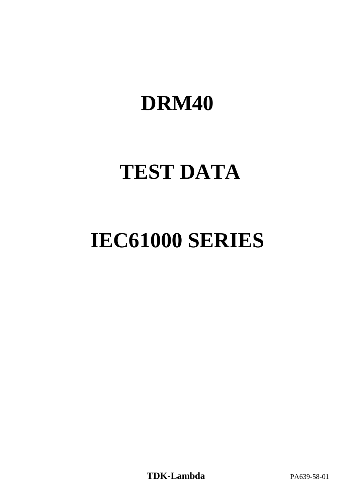# **DRM40**

# **TEST DATA**

# **IEC61000 SERIES**

**TDK-Lambda** PA639-58-01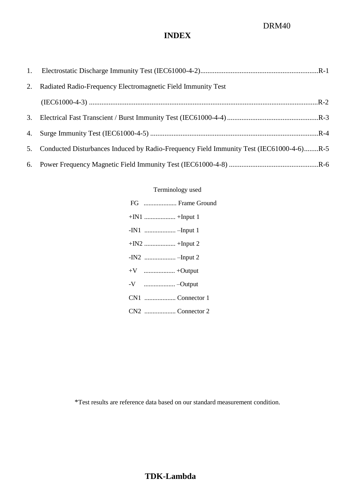# DRM40

# **INDEX**

| 1. |                                                                                         |
|----|-----------------------------------------------------------------------------------------|
| 2. | Radiated Radio-Frequency Electromagnetic Field Immunity Test                            |
|    |                                                                                         |
| 3. |                                                                                         |
| 4. |                                                                                         |
| 5. | Conducted Disturbances Induced by Radio-Frequency Field Immunity Test (IEC61000-4-6)R-5 |
| 6. |                                                                                         |

### Terminology used

| FG  Frame Ground |
|------------------|
|                  |
|                  |
|                  |
|                  |
|                  |
|                  |
| CN1 Connector 1  |
| CN2 Connector 2  |

\*Test results are reference data based on our standard measurement condition.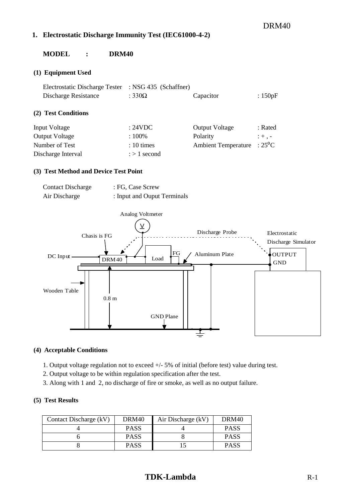### DRM40

#### <span id="page-2-0"></span>**1. Electrostatic Discharge Immunity Test (IEC61000-4-2)**

#### **MODEL : DRM40**

#### **(1) Equipment Used**

| Electrostatic Discharge Tester | : NSG $435$ (Schaffner) |                            |                |
|--------------------------------|-------------------------|----------------------------|----------------|
| Discharge Resistance           | : $330\Omega$           | Capacitor                  | : $150pF$      |
| (2) Test Conditions            |                         |                            |                |
| <b>Input Voltage</b>           | : 24VDC                 | <b>Output Voltage</b>      | : Rated        |
| <b>Output Voltage</b>          | :100%                   | Polarity                   | $: +$ , $-$    |
| Number of Test                 | $: 10 \times$           | <b>Ambient Temperature</b> | $:25^{\circ}C$ |
| Discharge Interval             | $\frac{1}{2}$ second    |                            |                |

#### **(3) Test Method and Device Test Point**

| <b>Contact Discharge</b> | : FG, Case Screw            |
|--------------------------|-----------------------------|
| Air Discharge            | : Input and Ouput Terminals |



#### **(4) Acceptable Conditions**

- 1. Output voltage regulation not to exceed +/- 5% of initial (before test) value during test.
- 2. Output voltage to be within regulation specification after the test.
- 3. Along with 1 and 2, no discharge of fire or smoke, as well as no output failure.

| Contact Discharge (kV) | DRM40       | Air Discharge (kV) | DRM <sub>40</sub> |
|------------------------|-------------|--------------------|-------------------|
|                        | <b>PASS</b> |                    | <b>PASS</b>       |
|                        | <b>PASS</b> |                    | <b>PASS</b>       |
|                        | <b>PASS</b> |                    | <b>PASS</b>       |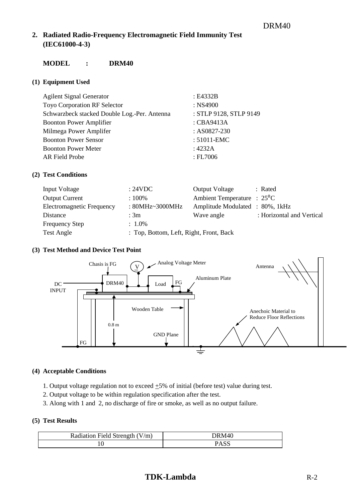### <span id="page-3-1"></span><span id="page-3-0"></span>**2. Radiated Radio-Frequency Electromagnetic Field Immunity Test (IEC61000-4-3)**

### **MODEL : DRM40**

#### **(1) Equipment Used**

| <b>Agilent Signal Generator</b>              | : E4332B               |
|----------------------------------------------|------------------------|
| <b>Toyo Corporation RF Selector</b>          | $:$ NS4900             |
| Schwarzbeck stacked Double Log.-Per. Antenna | : STLP 9128, STLP 9149 |
| <b>Boonton Power Amplifier</b>               | : CBA9413A             |
| Milmega Power Amplifer                       | : AS0827-230           |
| <b>Boonton Power Sensor</b>                  | : 51011-EMC            |
| <b>Boonton Power Meter</b>                   | : 4232A                |
| AR Field Probe                               | $E_{\text{F}}$ FL7006  |

#### **(2) Test Conditions**

| Input Voltage             | :24VDC                                  | <b>Output Voltage</b>                | : Rated                   |
|---------------------------|-----------------------------------------|--------------------------------------|---------------------------|
| <b>Output Current</b>     | $:100\%$                                | Ambient Temperature : $25^{\circ}$ C |                           |
| Electromagnetic Frequency | : $80MHz \sim 3000MHz$                  | Amplitude Modulated : 80%, 1kHz      |                           |
| Distance                  | : $3m$                                  | Wave angle                           | : Horizontal and Vertical |
| <b>Frequency Step</b>     | $: 1.0\%$                               |                                      |                           |
| <b>Test Angle</b>         | : Top, Bottom, Left, Right, Front, Back |                                      |                           |

#### **(3) Test Method and Device Test Point**



#### **(4) Acceptable Conditions**

- 1. Output voltage regulation not to exceed  $\pm 5\%$  of initial (before test) value during test.
- 2. Output voltage to be within regulation specification after the test.
- 3. Along with 1 and 2, no discharge of fire or smoke, as well as no output failure.

#### **(5) Test Results**

| Radiation Field Strength (V/m) | DRM40 |
|--------------------------------|-------|
|                                |       |

## **TDK-Lambda** R-2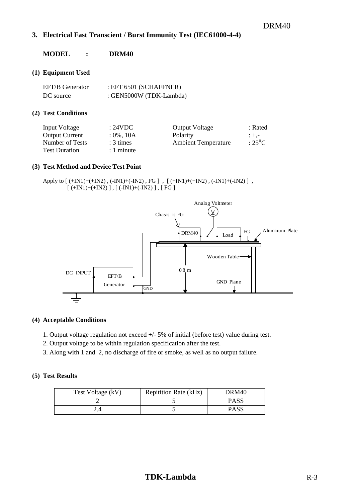#### <span id="page-4-0"></span>**3. Electrical Fast Transcient / Burst Immunity Test (IEC61000-4-4)**

#### **MODEL : DRM40**

#### **(1) Equipment Used**

| EFT/B Generator | EFT 6501 (SCHAFFNER)    |
|-----------------|-------------------------|
| DC source       | : GEN5000W (TDK-Lambda) |

#### **(2) Test Conditions**

| Input Voltage         | : 24VDC       | <b>Output Voltage</b>      | : Rated        |
|-----------------------|---------------|----------------------------|----------------|
| <b>Output Current</b> | $: 0\%$ , 10A | Polarity                   | $: + -$        |
| Number of Tests       | $: 3 \times$  | <b>Ambient Temperature</b> | $:25^{\circ}C$ |
| <b>Test Duration</b>  | $: 1$ minute  |                            |                |

#### **(3) Test Method and Device Test Point**

```
Apply to [ (+IN1)+(+IN2) , (-IN1)+(-IN2) , FG ] , [ (+IN1)+(+IN2) , (-IN1)+(-IN2) ] , 
[ (+IN1)+(+N2) ], [ (-IN1)+(-IN2) ], [ FG ]
```


#### **(4) Acceptable Conditions**

- 1. Output voltage regulation not exceed +/- 5% of initial (before test) value during test.
- 2. Output voltage to be within regulation specification after the test.
- 3. Along with 1 and 2, no discharge of fire or smoke, as well as no output failure.

| Test Voltage (kV) | <b>Repitition Rate (kHz)</b> | DRM40       |
|-------------------|------------------------------|-------------|
|                   |                              | <b>PASS</b> |
|                   |                              | <b>PASS</b> |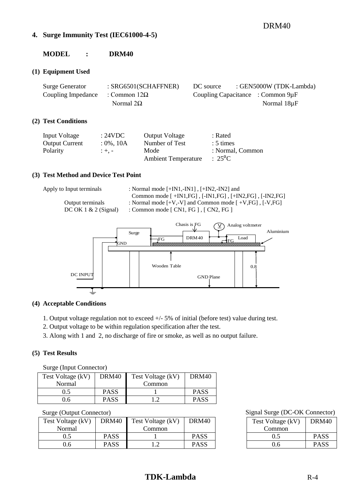#### <span id="page-5-0"></span>**4. Surge Immunity Test (IEC61000-4-5)**

### **MODEL : DRM40**

#### **(1) Equipment Used**

| <b>Surge Generator</b>                 | : SRG6501(SCHAFFNER) | DC source | : GEN5000W (TDK-Lambda)                |  |
|----------------------------------------|----------------------|-----------|----------------------------------------|--|
| Coupling Impedance : Common $12\Omega$ |                      |           | Coupling Capacitance : Common $9\mu$ F |  |
|                                        | Normal $2\Omega$     |           | Normal 18µF                            |  |

#### **(2) Test Conditions**

| Input Voltage         | : 24VDC       | <b>Output Voltage</b>      | : Rated          |
|-----------------------|---------------|----------------------------|------------------|
| <b>Output Current</b> | $: 0\%$ , 10A | Number of Test             | $: 5 \times$     |
| Polarity              | $: +. -$      | Mode                       | : Normal. Common |
|                       |               | <b>Ambient Temperature</b> | $: 25^{\circ}C$  |

#### **(3) Test Method and Device Test Point**

Apply to Input terminals : Normal mode [+IN1,-IN1], [+IN2,-IN2] and Common mode [ +IN1,FG] , [-IN1,FG] , [+IN2,FG] , [-IN2,FG] Output terminals : Normal mode  $[+V,-V]$  and Common mode  $[+V,FG]$ ,  $[-V,FG]$ 

DC OK 1 & 2 (Signal) : Common mode [ CN1, FG ], [ CN2, FG ]



#### **(4) Acceptable Conditions**

1. Output voltage regulation not to exceed +/- 5% of initial (before test) value during test.

- 2. Output voltage to be within regulation specification after the test.
- 3. Along with 1 and 2, no discharge of fire or smoke, as well as no output failure.

#### **(5) Test Results**

Surge (Input Connector)

| Test Voltage (kV) | DRM40       | Test Voltage (kV) | DRM <sub>40</sub> |
|-------------------|-------------|-------------------|-------------------|
| Normal            |             | Common            |                   |
| 0.5               | <b>PASS</b> |                   | <b>PASS</b>       |
| 0.6               | <b>PASS</b> |                   | <b>PASS</b>       |

| Test Voltage (kV) | DRM40       | Test Voltage (kV) | DRM <sub>40</sub> |
|-------------------|-------------|-------------------|-------------------|
| Normal            |             | Common            |                   |
| 0.5               | <b>PASS</b> |                   | <b>PASS</b>       |
| 0.6               | <b>PASS</b> | ി                 | <b>PASS</b>       |

#### Surge (Output Connector) Signal Surge (DC-OK Connector)

| Test Voltage (kV) | DRM <sub>40</sub> |
|-------------------|-------------------|
| Common            |                   |
| 0.5               | <b>PASS</b>       |
| በ 6               | <b>PASS</b>       |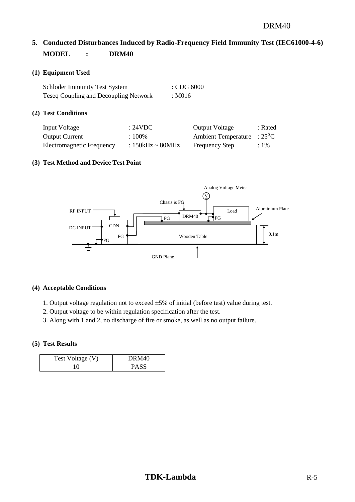# <span id="page-6-0"></span>**5. Conducted Disturbances Induced by Radio-Frequency Field Immunity Test (IEC61000-4-6) MODEL : DRM40**

#### **(1) Equipment Used**

| <b>Schloder Immunity Test System</b>         | $\therefore$ CDG 6000 |
|----------------------------------------------|-----------------------|
| <b>Teseq Coupling and Decoupling Network</b> | : M016                |

#### **(2) Test Conditions**

| Input Voltage             | : 24VDC               | Output Voltage                       | : Rated |
|---------------------------|-----------------------|--------------------------------------|---------|
| <b>Output Current</b>     | $:100\%$              | Ambient Temperature : $25^{\circ}$ C |         |
| Electromagnetic Frequency | : $150kHz \sim 80MHz$ | <b>Frequency Step</b>                | $:1\%$  |

#### **(3) Test Method and Device Test Point**



#### **(4) Acceptable Conditions**

- 1. Output voltage regulation not to exceed  $\pm 5\%$  of initial (before test) value during test.
- 2. Output voltage to be within regulation specification after the test.
- 3. Along with 1 and 2, no discharge of fire or smoke, as well as no output failure.

| Test Voltage (V) | DRM40 |
|------------------|-------|
|                  | PASS  |